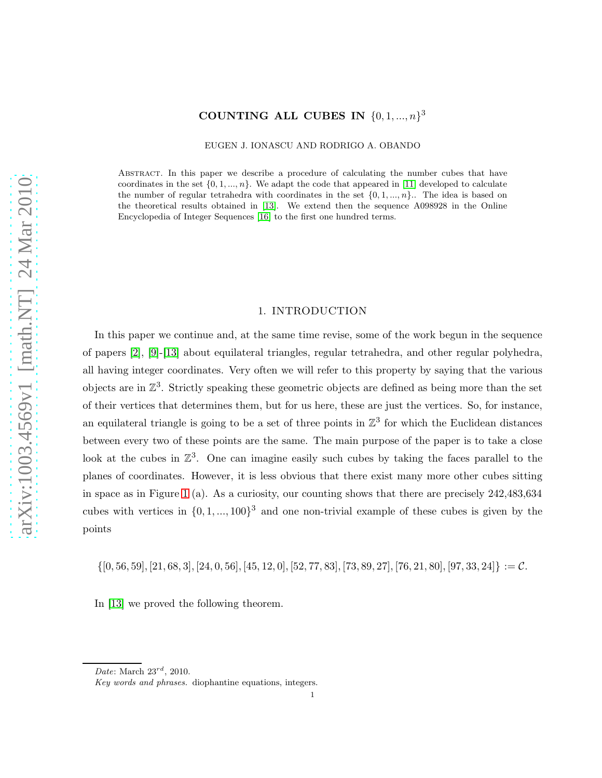# COUNTING ALL CUBES IN  $\{0, 1, ..., n\}^3$

EUGEN J. IONASCU AND RODRIGO A. OBANDO

Abstract. In this paper we describe a procedure of calculating the number cubes that have coordinates in the set  $\{0, 1, ..., n\}$ . We adapt the code that appeared in [\[11\]](#page-12-0) developed to calculate the number of regular tetrahedra with coordinates in the set  $\{0, 1, ..., n\}$ . The idea is based on the theoretical results obtained in [\[13\]](#page-12-1). We extend then the sequence A098928 in the Online Encyclopedia of Integer Sequences [\[16\]](#page-12-2) to the first one hundred terms.

#### 1. INTRODUCTION

In this paper we continue and, at the same time revise, some of the work begun in the sequence of papers [\[2\]](#page-12-3), [\[9\]](#page-12-4)-[\[13\]](#page-12-1) about equilateral triangles, regular tetrahedra, and other regular polyhedra, all having integer coordinates. Very often we will refer to this property by saying that the various objects are in  $\mathbb{Z}^3$ . Strictly speaking these geometric objects are defined as being more than the set of their vertices that determines them, but for us here, these are just the vertices. So, for instance, an equilateral triangle is going to be a set of three points in  $\mathbb{Z}^3$  for which the Euclidean distances between every two of these points are the same. The main purpose of the paper is to take a close look at the cubes in  $\mathbb{Z}^3$ . One can imagine easily such cubes by taking the faces parallel to the planes of coordinates. However, it is less obvious that there exist many more other cubes sitting in space as in Figure [1](#page-13-0) (a). As a curiosity, our counting shows that there are precisely 242,483,634 cubes with vertices in  $\{0, 1, ..., 100\}^3$  and one non-trivial example of these cubes is given by the points

 $\{[0, 56, 59], [21, 68, 3], [24, 0, 56], [45, 12, 0], [52, 77, 83], [73, 89, 27], [76, 21, 80], [97, 33, 24]\} := \mathcal{C}.$ 

In [\[13\]](#page-12-1) we proved the following theorem.

*Date*: March 23rd, 2010.

*Key words and phrases.* diophantine equations, integers.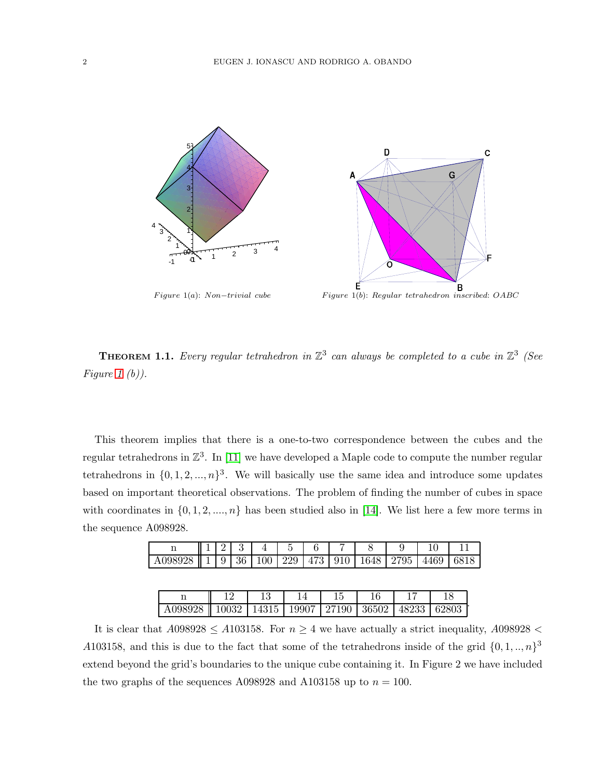



F igure 1(a): N on−trivial cube F igure 1(b): Regular tetrahedron inscribed: OABC

<span id="page-1-0"></span>**THEOREM 1.1.** Every regular tetrahedron in  $\mathbb{Z}^3$  can always be completed to a cube in  $\mathbb{Z}^3$  (See Figure [1](#page-13-0)  $(b)$ ).

This theorem implies that there is a one-to-two correspondence between the cubes and the regular tetrahedrons in  $\mathbb{Z}^3$ . In [\[11\]](#page-12-0) we have developed a Maple code to compute the number regular tetrahedrons in  $\{0, 1, 2, ..., n\}^3$ . We will basically use the same idea and introduce some updates based on important theoretical observations. The problem of finding the number of cubes in space with coordinates in  $\{0, 1, 2, ..., n\}$  has been studied also in [\[14\]](#page-12-5). We list here a few more terms in the sequence A098928.

|                                                                          |  | 1234456 |  |  |  |  |
|--------------------------------------------------------------------------|--|---------|--|--|--|--|
| A098928   1   9   36   100   229   473   910   1648   2795   4469   6818 |  |         |  |  |  |  |

| A098928    10032   14315   19907   27190   36502   48233   62803 |  |  |  |  |
|------------------------------------------------------------------|--|--|--|--|

It is clear that  $A098928 \le A103158$ . For  $n \ge 4$  we have actually a strict inequality,  $A098928 <$ A103158, and this is due to the fact that some of the tetrahedrons inside of the grid  $\{0, 1, ..., n\}^3$ extend beyond the grid's boundaries to the unique cube containing it. In Figure 2 we have included the two graphs of the sequences A098928 and A103158 up to  $n = 100$ .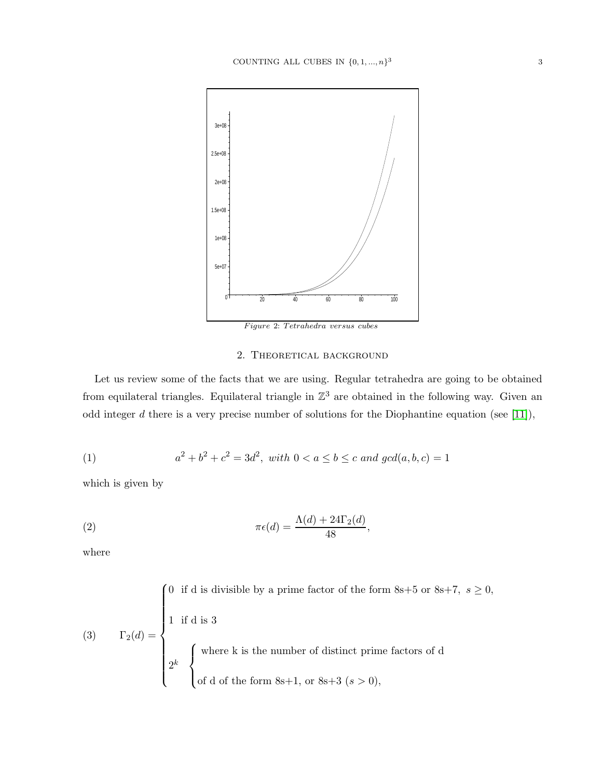

## 2. THEORETICAL BACKGROUND

Let us review some of the facts that we are using. Regular tetrahedra are going to be obtained from equilateral triangles. Equilateral triangle in  $\mathbb{Z}^3$  are obtained in the following way. Given an odd integer  $d$  there is a very precise number of solutions for the Diophantine equation (see [\[11\]](#page-12-0)),

<span id="page-2-0"></span>(1) 
$$
a^2 + b^2 + c^2 = 3d^2, \text{ with } 0 < a \le b \le c \text{ and } \gcd(a, b, c) = 1
$$

which is given by

(2) 
$$
\pi \epsilon(d) = \frac{\Lambda(d) + 24\Gamma_2(d)}{48},
$$

where

(3) 
$$
\Gamma_2(d) = \begin{cases} 0 & \text{if d is divisible by a prime factor of the form } 8s+5 \text{ or } 8s+7, \ s \ge 0, \\ 1 & \text{if d is 3} \\ 2^k & \begin{cases} \text{where k is the number of distinct prime factors of d} \\ \text{of d of the form } 8s+1, \text{ or } 8s+3 \ (s > 0), \end{cases} \end{cases}
$$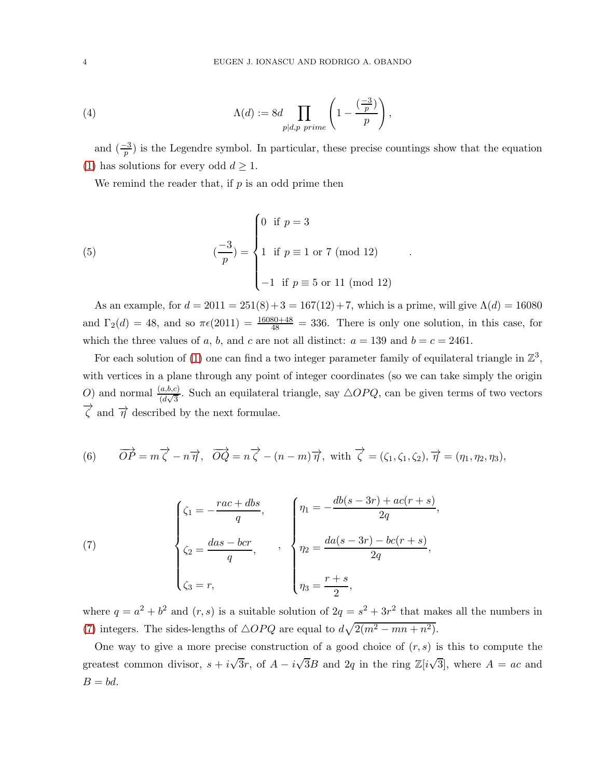(4) 
$$
\Lambda(d) := 8d \prod_{p|d,p \ prime} \left(1 - \frac{\left(\frac{-3}{p}\right)}{p}\right),
$$

and  $\left(\frac{-3}{p}\right)$  is the Legendre symbol. In particular, these precise countings show that the equation [\(1\)](#page-2-0) has solutions for every odd  $d \geq 1$ .

We remind the reader that, if  $p$  is an odd prime then

(5) 
$$
\left(\frac{-3}{p}\right) = \begin{cases} 0 & \text{if } p = 3 \\ 1 & \text{if } p \equiv 1 \text{ or } 7 \text{ (mod 12)} \\ -1 & \text{if } p \equiv 5 \text{ or } 11 \text{ (mod 12)} \end{cases}
$$

As an example, for  $d = 2011 = 251(8) + 3 = 167(12) + 7$ , which is a prime, will give  $\Lambda(d) = 16080$ and  $\Gamma_2(d) = 48$ , and so  $\pi \epsilon(2011) = \frac{16080+48}{48} = 336$ . There is only one solution, in this case, for which the three values of a, b, and c are not all distinct:  $a = 139$  and  $b = c = 2461$ .

.

For each solution of [\(1\)](#page-2-0) one can find a two integer parameter family of equilateral triangle in  $\mathbb{Z}^3$ , with vertices in a plane through any point of integer coordinates (so we can take simply the origin O) and normal  $\frac{(a,b,c)}{(d\sqrt{3})}$ . Such an equilateral triangle, say  $\triangle OPQ$ , can be given terms of two vectors  $\overrightarrow{\zeta}$  and  $\overrightarrow{\eta}$  described by the next formulae.

<span id="page-3-1"></span>(6) 
$$
\overrightarrow{OP} = m\overrightarrow{\zeta} - n\overrightarrow{\eta}
$$
,  $\overrightarrow{OQ} = n\overrightarrow{\zeta} - (n-m)\overrightarrow{\eta}$ , with  $\overrightarrow{\zeta} = (\zeta_1, \zeta_1, \zeta_2), \overrightarrow{\eta} = (\eta_1, \eta_2, \eta_3)$ ,

<span id="page-3-0"></span>(7) 
$$
\begin{cases} \zeta_1 = -\frac{rac + d}{q}, \\ \zeta_2 = \frac{das - bcr}{q}, \\ \zeta_3 = r, \end{cases}, \quad \gamma_1 = -\frac{db(s - 3r) + ac(r + s)}{2q}, \\ \eta_2 = \frac{da(s - 3r) - bc(r + s)}{2q}, \\ \eta_3 = \frac{r + s}{2}, \end{cases}
$$

where  $q = a^2 + b^2$  and  $(r, s)$  is a suitable solution of  $2q = s^2 + 3r^2$  that makes all the numbers in [\(7\)](#page-3-0) integers. The sides-lengths of  $\triangle OPQ$  are equal to  $d\sqrt{2(m^2 - mn + n^2)}$ .

One way to give a more precise construction of a good choice of  $(r, s)$  is this to compute the greatest common divisor,  $s + i\sqrt{3}r$ , of  $A - i\sqrt{3}B$  and 2q in the ring  $\mathbb{Z}[i\sqrt{3}]$ , where  $A = ac$  and  $B = bd$ .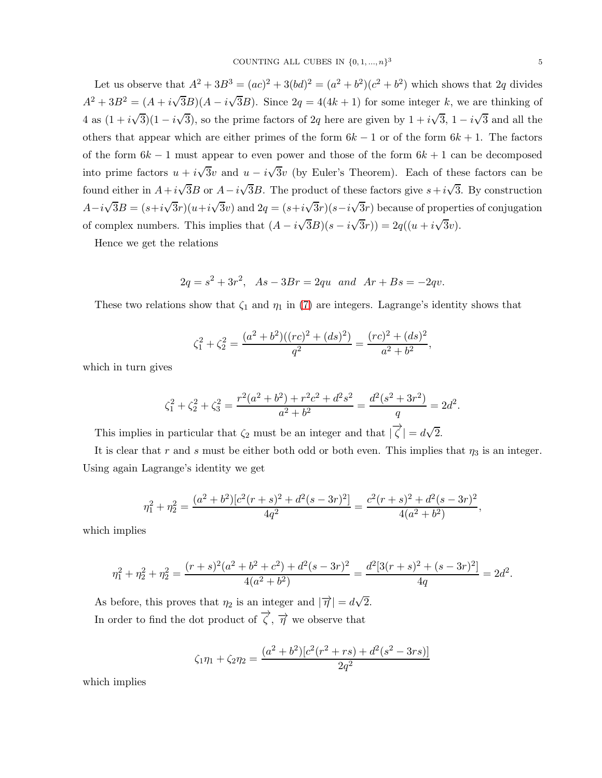Let us observe that  $A^2 + 3B^3 = (ac)^2 + 3(bd)^2 = (a^2 + b^2)(c^2 + b^2)$  which shows that 2q divides  $A^2 + 3B^2 = (A + i\sqrt{3}B)(A - i\sqrt{3}B)$ . Since  $2q = 4(4k + 1)$  for some integer k, we are thinking of 4 as  $(1 + i\sqrt{3})(1 - i\sqrt{3})$ , so the prime factors of 2q here are given by  $1 + i\sqrt{3}$ ,  $1 - i\sqrt{3}$  and all the others that appear which are either primes of the form  $6k - 1$  or of the form  $6k + 1$ . The factors of the form  $6k-1$  must appear to even power and those of the form  $6k+1$  can be decomposed into prime factors  $u + i\sqrt{3}v$  and  $u - i\sqrt{3}v$  (by Euler's Theorem). Each of these factors can be found either in  $A + i\sqrt{3}B$  or  $A - i\sqrt{3}B$ . The product of these factors give  $s + i\sqrt{3}$ . By construction  $A-i\sqrt{3}B=(s+i\sqrt{3}r)(u+i\sqrt{3}v)$  and  $2q=(s+i\sqrt{3}r)(s-i\sqrt{3}r)$  because of properties of conjugation of complex numbers. This implies that  $(A - i\sqrt{3}B)(s - i\sqrt{3}r) = 2q((u + i\sqrt{3}v)$ .

Hence we get the relations

$$
2q = s^2 + 3r^2
$$
,  $As - 3Br = 2qu$  and  $Ar + Bs = -2qv$ .

These two relations show that  $\zeta_1$  and  $\eta_1$  in [\(7\)](#page-3-0) are integers. Lagrange's identity shows that

$$
\zeta_1^2 + \zeta_2^2 = \frac{(a^2 + b^2)((rc)^2 + (ds)^2)}{q^2} = \frac{(rc)^2 + (ds)^2}{a^2 + b^2},
$$

which in turn gives

$$
\zeta_1^2 + \zeta_2^2 + \zeta_3^2 = \frac{r^2(a^2 + b^2) + r^2c^2 + d^2s^2}{a^2 + b^2} = \frac{d^2(s^2 + 3r^2)}{q} = 2d^2.
$$

This implies in particular that  $\zeta_2$  must be an integer and that  $|\overrightarrow{\zeta}| = d\sqrt{2}$ .

It is clear that r and s must be either both odd or both even. This implies that  $\eta_3$  is an integer. Using again Lagrange's identity we get

$$
\eta_1^2 + \eta_2^2 = \frac{(a^2 + b^2)[c^2(r+s)^2 + d^2(s-3r)^2]}{4q^2} = \frac{c^2(r+s)^2 + d^2(s-3r)^2}{4(a^2 + b^2)},
$$

which implies

$$
\eta_1^2 + \eta_2^2 + \eta_2^2 = \frac{(r+s)^2(a^2 + b^2 + c^2) + d^2(s - 3r)^2}{4(a^2 + b^2)} = \frac{d^2[3(r+s)^2 + (s - 3r)^2]}{4q} = 2d^2.
$$

As before, this proves that  $\eta_2$  is an integer and  $|\overrightarrow{\eta}| = d\sqrt{2}$ . In order to find the dot product of  $\overrightarrow{\zeta}$ ,  $\overrightarrow{\eta}$  we observe that

$$
\zeta_1 \eta_1 + \zeta_2 \eta_2 = \frac{(a^2 + b^2)[c^2(r^2 + rs) + d^2(s^2 - 3rs)]}{2q^2}
$$

which implies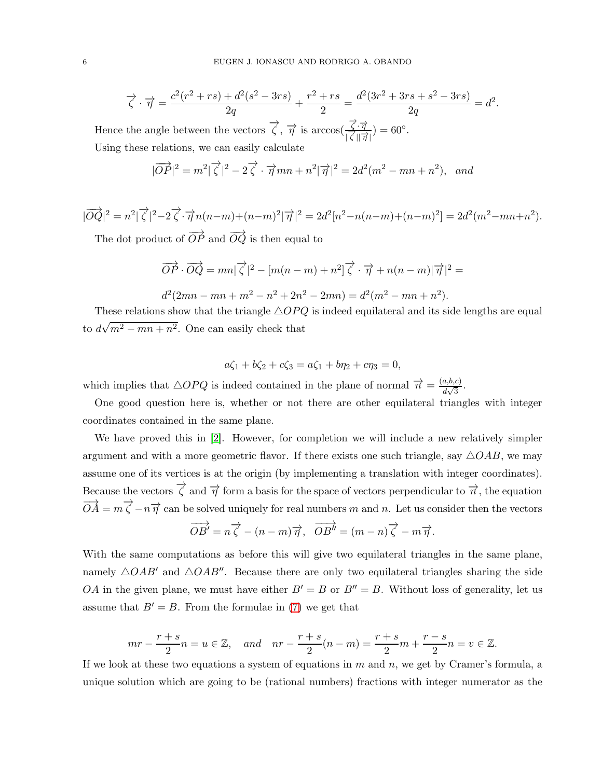$$
\overrightarrow{\zeta} \cdot \overrightarrow{\eta} = \frac{c^2(r^2 + rs) + d^2(s^2 - 3rs)}{2q} + \frac{r^2 + rs}{2} = \frac{d^2(3r^2 + 3rs + s^2 - 3rs)}{2q} = d^2.
$$

Hence the angle between the vectors  $\overrightarrow{\zeta}$ ,  $\overrightarrow{\eta}$  is arccos $\left(\frac{\overrightarrow{\zeta} \cdot \overrightarrow{\eta}}{\overrightarrow{\zeta} \cdot \eta}\right)$  $\frac{\zeta \cdot \eta}{|\zeta| |\overrightarrow{\eta}|}$  = 60°. Using these relations, we can easily calculate

$$
|\overrightarrow{OP}|^2 = m^2|\overrightarrow{\zeta}|^2 - 2\overrightarrow{\zeta} \cdot \overrightarrow{\eta}mn + n^2|\overrightarrow{\eta}|^2 = 2d^2(m^2 - mn + n^2), \text{ and}
$$

$$
|\overrightarrow{OQ}|^2 = n^2 |\overrightarrow{\zeta}|^2 - 2\overrightarrow{\zeta} \cdot \overrightarrow{\eta} n(n-m) + (n-m)^2 |\overrightarrow{\eta}|^2 = 2d^2 [n^2 - n(n-m) + (n-m)^2] = 2d^2(m^2 - mn + n^2).
$$

The dot product of  $\overrightarrow{OP}$  and  $\overrightarrow{OQ}$  is then equal to

$$
\overrightarrow{OP} \cdot \overrightarrow{OQ} = mn|\overrightarrow{\zeta}|^2 - [m(n-m) + n^2]\overrightarrow{\zeta} \cdot \overrightarrow{\eta} + n(n-m)|\overrightarrow{\eta}|^2 =
$$

$$
d^{2}(2mn - mn + m^{2} - n^{2} + 2n^{2} - 2mn) = d^{2}(m^{2} - mn + n^{2}).
$$

These relations show that the triangle  $\triangle OPQ$  is indeed equilateral and its side lengths are equal to  $d\sqrt{m^2 - mn + n^2}$ . One can easily check that

$$
a\zeta_1 + b\zeta_2 + c\zeta_3 = a\zeta_1 + b\eta_2 + c\eta_3 = 0,
$$

which implies that  $\triangle OPQ$  is indeed contained in the plane of normal  $\vec{n} = \frac{(a,b,c)}{d\sqrt{3}}$  $rac{a, b, c)}{d\sqrt{3}}$ .

One good question here is, whether or not there are other equilateral triangles with integer coordinates contained in the same plane.

We have proved this in [\[2\]](#page-12-3). However, for completion we will include a new relatively simpler argument and with a more geometric flavor. If there exists one such triangle, say  $\triangle OAB$ , we may assume one of its vertices is at the origin (by implementing a translation with integer coordinates). Because the vectors  $\overrightarrow{\zeta}$  and  $\overrightarrow{\eta}$  form a basis for the space of vectors perpendicular to  $\overrightarrow{n}$ , the equation  $\overrightarrow{OA} = m\overrightarrow{\zeta} - n\overrightarrow{\eta}$  can be solved uniquely for real numbers m and n. Let us consider then the vectors

$$
\overrightarrow{OB'} = n\overrightarrow{\zeta} - (n-m)\overrightarrow{\eta}, \overrightarrow{OB''} = (m-n)\overrightarrow{\zeta} - m\overrightarrow{\eta}.
$$

With the same computations as before this will give two equilateral triangles in the same plane, namely  $\triangle OAB'$  and  $\triangle OAB''$ . Because there are only two equilateral triangles sharing the side OA in the given plane, we must have either  $B' = B$  or  $B'' = B$ . Without loss of generality, let us assume that  $B' = B$ . From the formulae in [\(7\)](#page-3-0) we get that

$$
mr - \frac{r+s}{2}n = u \in \mathbb{Z}, \quad and \quad nr - \frac{r+s}{2}(n-m) = \frac{r+s}{2}m + \frac{r-s}{2}n = v \in \mathbb{Z}.
$$

If we look at these two equations a system of equations in  $m$  and  $n$ , we get by Cramer's formula, a unique solution which are going to be (rational numbers) fractions with integer numerator as the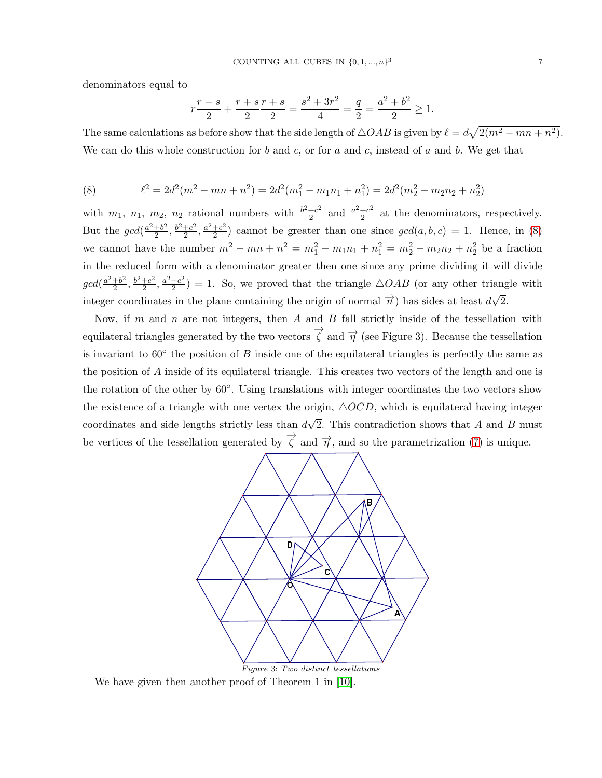denominators equal to

$$
r\frac{r-s}{2} + \frac{r+s}{2}\frac{r+s}{2} = \frac{s^2+3r^2}{4} = \frac{q}{2} = \frac{a^2+b^2}{2} \ge 1.
$$

The same calculations as before show that the side length of  $\triangle OAB$  is given by  $\ell = d\sqrt{2(m^2 - mn + n^2)}$ . We can do this whole construction for b and c, or for a and c, instead of a and b. We get that

<span id="page-6-0"></span>(8) 
$$
\ell^2 = 2d^2(m^2 - mn + n^2) = 2d^2(m_1^2 - m_1n_1 + n_1^2) = 2d^2(m_2^2 - m_2n_2 + n_2^2)
$$

with  $m_1$ ,  $n_1$ ,  $m_2$ ,  $n_2$  rational numbers with  $\frac{b^2+c^2}{2}$  $\frac{+c^2}{2}$  and  $\frac{a^2+c^2}{2}$  $\frac{+c^2}{2}$  at the denominators, respectively. But the  $gcd(\frac{a^2+b^2}{2})$  $\frac{+b^2}{2}, \frac{b^2+c^2}{2}$  $\frac{1+c^2}{2}, \frac{a^2+c^2}{2}$  $\frac{+c^2}{2}$  cannot be greater than one since  $gcd(a, b, c) = 1$ . Hence, in [\(8\)](#page-6-0) we cannot have the number  $m^2 - mn + n^2 = m_1^2 - m_1 n_1 + n_1^2 = m_2^2 - m_2 n_2 + n_2^2$  be a fraction in the reduced form with a denominator greater then one since any prime dividing it will divide  $gcd(\frac{a^2+b^2}{2})$  $\frac{+b^2}{2}, \frac{b^2+c^2}{2}$  $\frac{1+c^2}{2}, \frac{a^2+c^2}{2}$  $\frac{+c^2}{2}$ ) = 1. So, we proved that the triangle  $\triangle OAB$  (or any other triangle with integer coordinates in the plane containing the origin of normal  $\overrightarrow{n}$ ) has sides at least  $d\sqrt{2}$ .

Now, if m and n are not integers, then A and B fall strictly inside of the tessellation with equilateral triangles generated by the two vectors  $\overrightarrow{\zeta}$  and  $\overrightarrow{\eta}$  (see Figure 3). Because the tessellation is invariant to  $60^{\circ}$  the position of B inside one of the equilateral triangles is perfectly the same as the position of A inside of its equilateral triangle. This creates two vectors of the length and one is the rotation of the other by 60◦ . Using translations with integer coordinates the two vectors show the existence of a triangle with one vertex the origin,  $\triangle OCD$ , which is equilateral having integer coordinates and side lengths strictly less than  $d\sqrt{2}$ . This contradiction shows that A and B must be vertices of the tessellation generated by  $\overrightarrow{\zeta}$  and  $\overrightarrow{\eta}$ , and so the parametrization [\(7\)](#page-3-0) is unique.



We have given then another proof of Theorem 1 in [\[10\]](#page-12-6).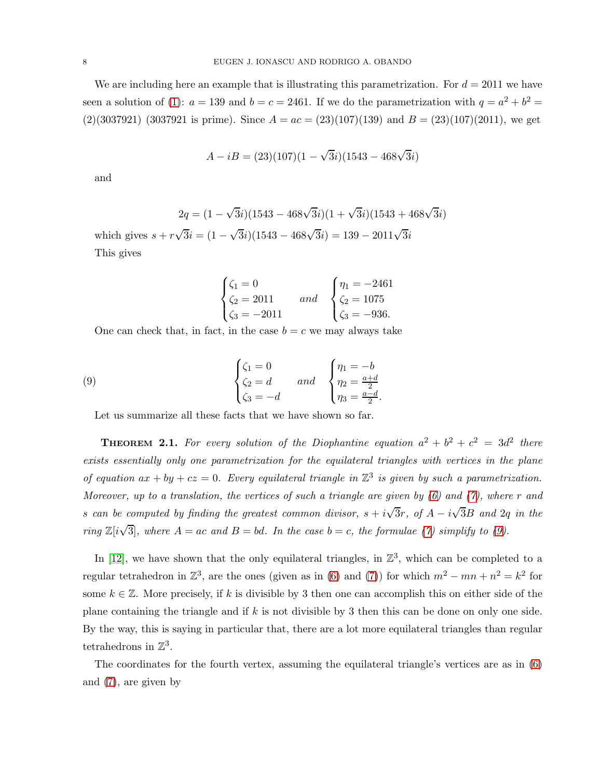We are including here an example that is illustrating this parametrization. For  $d = 2011$  we have seen a solution of [\(1\)](#page-2-0):  $a = 139$  and  $b = c = 2461$ . If we do the parametrization with  $q = a^2 + b^2 =$  $(2)(3037921)$  (3037921 is prime). Since  $A = ac = (23)(107)(139)$  and  $B = (23)(107)(2011)$ , we get

$$
A - iB = (23)(107)(1 - \sqrt{3}i)(1543 - 468\sqrt{3}i)
$$

and

$$
2q = (1 - \sqrt{3}i)(1543 - 468\sqrt{3}i)(1 + \sqrt{3}i)(1543 + 468\sqrt{3}i)
$$

which gives  $s + r\sqrt{3}i = (1 - \sqrt{3}i)(1543 - 468\sqrt{3}i) = 139 - 2011\sqrt{3}i$ This gives

<span id="page-7-0"></span>
$$
\begin{cases} \zeta_1 = 0 \\ \zeta_2 = 2011 \\ \zeta_3 = -2011 \end{cases} and \begin{cases} \eta_1 = -2461 \\ \zeta_2 = 1075 \\ \zeta_3 = -936. \end{cases}
$$

One can check that, in fact, in the case  $b = c$  we may always take

(9) 
$$
\begin{cases} \zeta_1 = 0 \\ \zeta_2 = d \\ \zeta_3 = -d \end{cases} \text{ and } \begin{cases} \eta_1 = -b \\ \eta_2 = \frac{a+d}{2} \\ \eta_3 = \frac{a-d}{2}. \end{cases}
$$

Let us summarize all these facts that we have shown so far.

**THEOREM 2.1.** For every solution of the Diophantine equation  $a^2 + b^2 + c^2 = 3d^2$  there exists essentially only one parametrization for the equilateral triangles with vertices in the plane of equation  $ax + by + cz = 0$ . Every equilateral triangle in  $\mathbb{Z}^3$  is given by such a parametrization. Moreover, up to a translation, the vertices of such a triangle are given by  $(6)$  and  $(7)$ , where r and s can be computed by finding the greatest common divisor,  $s + i\sqrt{3}r$ , of  $A - i\sqrt{3}B$  and  $2q$  in the ring  $\mathbb{Z}[i\sqrt{3}]$ , where  $A = ac$  and  $B = bd$ . In the case  $b = c$ , the formulae [\(7\)](#page-3-0) simplify to [\(9\)](#page-7-0).

In [\[12\]](#page-12-7), we have shown that the only equilateral triangles, in  $\mathbb{Z}^3$ , which can be completed to a regular tetrahedron in  $\mathbb{Z}^3$ , are the ones (given as in [\(6\)](#page-3-1) and [\(7\)](#page-3-0)) for which  $m^2 - mn + n^2 = k^2$  for some  $k \in \mathbb{Z}$ . More precisely, if k is divisible by 3 then one can accomplish this on either side of the plane containing the triangle and if  $k$  is not divisible by 3 then this can be done on only one side. By the way, this is saying in particular that, there are a lot more equilateral triangles than regular tetrahedrons in  $\mathbb{Z}^3$ .

The coordinates for the fourth vertex, assuming the equilateral triangle's vertices are as in [\(6\)](#page-3-1) and [\(7\)](#page-3-0), are given by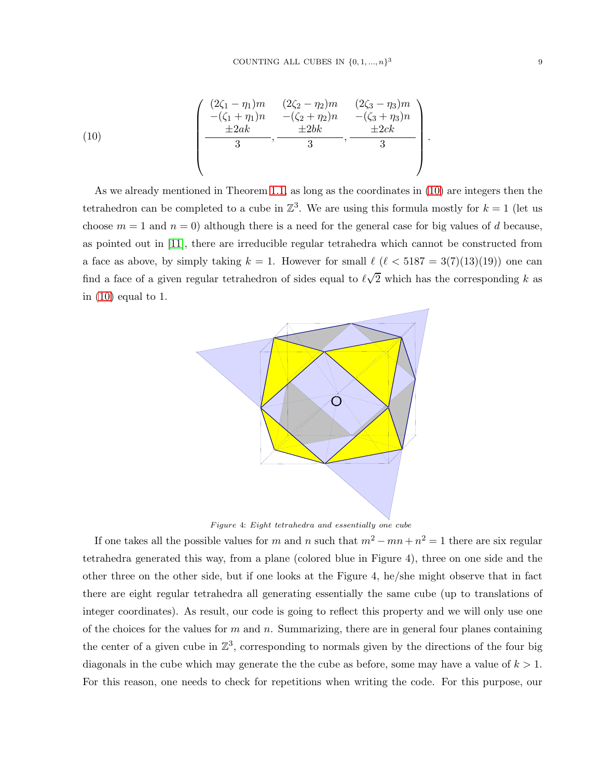<span id="page-8-0"></span>(10) 
$$
\left(\begin{array}{cc} (2\zeta_1 - \eta_1)m & (2\zeta_2 - \eta_2)m & (2\zeta_3 - \eta_3)m \\ -(\zeta_1 + \eta_1)n & -(\zeta_2 + \eta_2)n & -(\zeta_3 + \eta_3)n \\ \frac{\pm 2ak}{3} & \frac{\pm 2bk}{3} & \frac{\pm 2ck}{3} \end{array}\right)
$$

As we already mentioned in Theorem [1.1,](#page-1-0) as long as the coordinates in [\(10\)](#page-8-0) are integers then the tetrahedron can be completed to a cube in  $\mathbb{Z}^3$ . We are using this formula mostly for  $k = 1$  (let us choose  $m = 1$  and  $n = 0$ ) although there is a need for the general case for big values of d because, as pointed out in [\[11\]](#page-12-0), there are irreducible regular tetrahedra which cannot be constructed from a face as above, by simply taking  $k = 1$ . However for small  $\ell$  ( $\ell < 5187 = 3(7)(13)(19)$ ) one can find a face of a given regular tetrahedron of sides equal to  $\ell\sqrt{2}$  which has the corresponding k as in [\(10\)](#page-8-0) equal to 1.



Figure 4: Eight tetrahedra and essentially one cube

If one takes all the possible values for m and n such that  $m^2 - mn + n^2 = 1$  there are six regular tetrahedra generated this way, from a plane (colored blue in Figure 4), three on one side and the other three on the other side, but if one looks at the Figure 4, he/she might observe that in fact there are eight regular tetrahedra all generating essentially the same cube (up to translations of integer coordinates). As result, our code is going to reflect this property and we will only use one of the choices for the values for  $m$  and  $n$ . Summarizing, there are in general four planes containing the center of a given cube in  $\mathbb{Z}^3$ , corresponding to normals given by the directions of the four big diagonals in the cube which may generate the the cube as before, some may have a value of  $k > 1$ . For this reason, one needs to check for repetitions when writing the code. For this purpose, our

.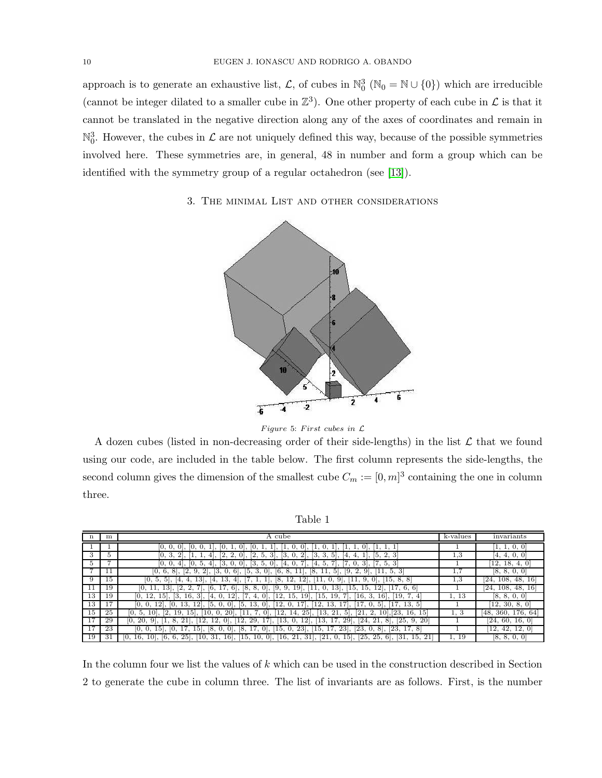approach is to generate an exhaustive list,  $\mathcal{L}$ , of cubes in  $\mathbb{N}_0^3$  ( $\mathbb{N}_0 = \mathbb{N} \cup \{0\}$ ) which are irreducible (cannot be integer dilated to a smaller cube in  $\mathbb{Z}^3$ ). One other property of each cube in  $\mathcal L$  is that it cannot be translated in the negative direction along any of the axes of coordinates and remain in  $\mathbb{N}_0^3$ . However, the cubes in  $\mathcal L$  are not uniquely defined this way, because of the possible symmetries involved here. These symmetries are, in general, 48 in number and form a group which can be identified with the symmetry group of a regular octahedron (see [\[13\]](#page-12-1)).

## 3. The minimal List and other considerations



Figure 5: First cubes in  $\mathcal L$ 

A dozen cubes (listed in non-decreasing order of their side-lengths) in the list  $\mathcal L$  that we found using our code, are included in the table below. The first column represents the side-lengths, the second column gives the dimension of the smallest cube  $C_m := [0, m]^3$  containing the one in column three.

Table 1

|                 | m              | . cube<br>А                                                                                                                                                                                                    | k-values | invariants                  |
|-----------------|----------------|----------------------------------------------------------------------------------------------------------------------------------------------------------------------------------------------------------------|----------|-----------------------------|
|                 |                | ſΟ.<br>$\vert$ 0<br>$ 0, \>$                                                                                                                                                                                   |          | 1, 1, 0, 0                  |
| 3               | Ð              | [0,<br>3<br>3<br>ΙЗ.<br>2 <sup>1</sup><br>[3.<br>3,<br>2, 3<br>$\overline{\mathbf{2}}$<br>[2,<br>2.<br>[2,<br>5 <sub>1</sub><br>4<br>-5.<br>14,<br>4,                                                          | 1.3      | Ι4.<br>4, 0, 0              |
| Ð.              |                | 7, 5, 3<br>Β.<br>В.<br> 0, 0,<br> 0 <br>$\overline{4}$<br>4<br>$\circ$<br>14,<br>Ι4,                                                                                                                           |          | 18,<br>12.<br>4,            |
|                 | 11             | [0, 6, 8]<br>[5, 3,<br>[6, 8,<br>[11, 5,<br>$2$ ,<br>[3, 0,<br>6.<br>[9, 2,<br>-3<br> 2,<br>9.<br> 0 <br>11,<br> 8,<br>9,<br>5.<br>11,                                                                         |          | [8, 8, 0, 0]                |
| 9               | 15             | [0, 5,<br>[15, 8, 8]<br>13.<br>8,<br>12,<br> 12 <br>13.<br>'11.<br>9,<br>$ 0 $ ,<br>91.<br>-51<br>14,<br>14,                                                                                                   | 1.3      | [24, 108, 48,<br>16         |
|                 | 19             | [8,<br>[2,<br><sup>[6.]</sup><br>$17, 6$ ,<br>8.<br>$[9, 9, 19]$ , $[$<br>$13$ , [<br>[15, 15,<br>$12$ , [17, 6, 6]<br>$13$ .<br>2,<br>$ 0 $ ,<br>[11, 0,                                                      |          | 108, 48, 16<br>[24,         |
| 13              | 19             | [19,7<br>12,<br>[3, 16,<br>-31<br>$12$ ,<br>19.<br>$15$ .<br>17.<br>12.<br>15,<br>[15,<br>[16,<br><b>19</b><br><b>16</b><br>4<br>14.<br>4,<br>-3.                                                              | 1, 13    | [8, 8, 0,<br>$\overline{0}$ |
| 13              | 1 <sub>7</sub> | $[12, 13, 17]$ ,<br>[5, 13,<br>[17, 0,<br>$\overline{17}$<br>13, 5<br>13.<br> 12 <br>[5, 0,<br>12.<br>$ 0 $ ,<br>5.                                                                                            |          | [12, 30, 8, 0]              |
| 15              | 25             | [12, 14, 25], [13,<br>21.<br>$\sqrt{23}$<br>15 <sup>1</sup><br>$20$ , [11, 7, 0].<br>5 <sup>1</sup><br>[21, 2,<br>16,<br>[2,<br>[10, 0,<br>10 <sup>1</sup><br>19<br><b>10</b><br>15 <sub>1</sub><br>-5.<br>10, | 1, 3     | [48, 360, 176, 64]          |
| $\overline{1}7$ | 29             | 12.<br>29.<br>17.<br>[13,<br>$\sqrt{24}$<br>[25, 9,<br>20<br>10.<br>- 8.<br>12.<br>12,<br> 0 <br>12<br>13.<br>17,<br>29,<br>21,<br>8<br>20.<br>21                                                              |          | [24, 60, 16, 0]             |
| 17              | 23             | 23<br><sup>23</sup> .<br>$\sqrt{23}$<br>Ι8.<br>15.<br>[15, 17]<br>[23.<br>8<br>Ι8.<br> 0,<br>151<br>[0, 8]<br>$ 0 $ .<br>151<br>$01$ .                                                                         |          | 42, 12,<br>12.              |
| 19              | 31             | $16$ ,<br>$15$ , $[25, 25,$<br>[6, 6,<br>$25$ .<br>31,<br>[15, 10, 0],<br>[16, 21, 31],<br>[21, 0,<br>$\left[31\right]$<br>$16, 10$ .<br>6.<br>15.<br>[10,<br>21<br>10.                                        | 1.19     | Ι8.<br>8, 0, 0              |

In the column four we list the values of  $k$  which can be used in the construction described in Section 2 to generate the cube in column three. The list of invariants are as follows. First, is the number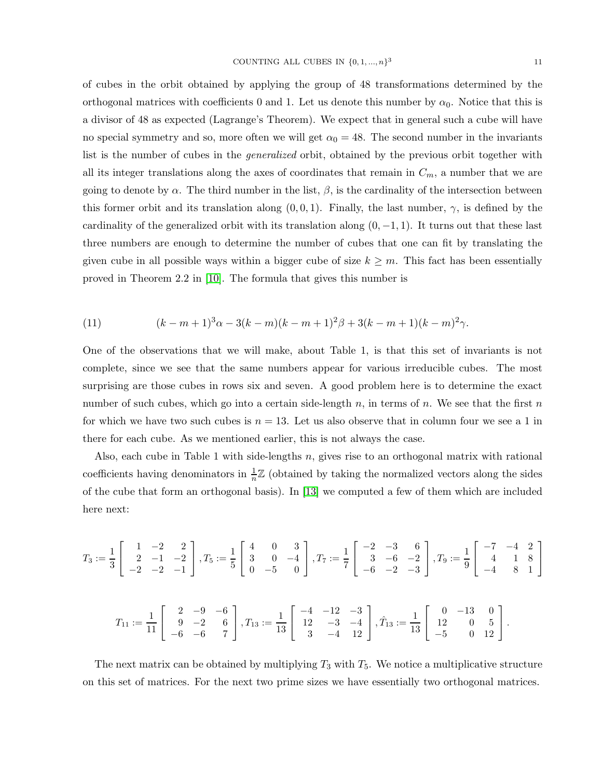of cubes in the orbit obtained by applying the group of 48 transformations determined by the orthogonal matrices with coefficients 0 and 1. Let us denote this number by  $\alpha_0$ . Notice that this is a divisor of 48 as expected (Lagrange's Theorem). We expect that in general such a cube will have no special symmetry and so, more often we will get  $\alpha_0 = 48$ . The second number in the invariants list is the number of cubes in the generalized orbit, obtained by the previous orbit together with all its integer translations along the axes of coordinates that remain in  $C_m$ , a number that we are going to denote by  $\alpha$ . The third number in the list,  $\beta$ , is the cardinality of the intersection between this former orbit and its translation along  $(0, 0, 1)$ . Finally, the last number,  $\gamma$ , is defined by the cardinality of the generalized orbit with its translation along  $(0, -1, 1)$ . It turns out that these last three numbers are enough to determine the number of cubes that one can fit by translating the given cube in all possible ways within a bigger cube of size  $k \geq m$ . This fact has been essentially proved in Theorem 2.2 in [\[10\]](#page-12-6). The formula that gives this number is

<span id="page-10-0"></span>(11) 
$$
(k - m + 1)^3 \alpha - 3(k - m)(k - m + 1)^2 \beta + 3(k - m + 1)(k - m)^2 \gamma.
$$

One of the observations that we will make, about Table 1, is that this set of invariants is not complete, since we see that the same numbers appear for various irreducible cubes. The most surprising are those cubes in rows six and seven. A good problem here is to determine the exact number of such cubes, which go into a certain side-length  $n$ , in terms of  $n$ . We see that the first  $n$ for which we have two such cubes is  $n = 13$ . Let us also observe that in column four we see a 1 in there for each cube. As we mentioned earlier, this is not always the case.

Also, each cube in Table 1 with side-lengths n, gives rise to an orthogonal matrix with rational coefficients having denominators in  $\frac{1}{n}\mathbb{Z}$  (obtained by taking the normalized vectors along the sides of the cube that form an orthogonal basis). In [\[13\]](#page-12-1) we computed a few of them which are included here next:

$$
T_3 := \frac{1}{3} \begin{bmatrix} 1 & -2 & 2 \ 2 & -1 & -2 \ -2 & -2 & -1 \end{bmatrix}, T_5 := \frac{1}{5} \begin{bmatrix} 4 & 0 & 3 \ 3 & 0 & -4 \ 0 & -5 & 0 \end{bmatrix}, T_7 := \frac{1}{7} \begin{bmatrix} -2 & -3 & 6 \ 3 & -6 & -2 \ -6 & -2 & -3 \end{bmatrix}, T_9 := \frac{1}{9} \begin{bmatrix} -7 & -4 & 2 \ 4 & 1 & 8 \ -4 & 8 & 1 \end{bmatrix}
$$

$$
T_{11} := \frac{1}{11} \begin{bmatrix} 2 & -9 & -6 \ 9 & -2 & 6 \ -6 & -6 & 7 \end{bmatrix}, T_{13} := \frac{1}{13} \begin{bmatrix} -4 & -12 & -3 \ 12 & -3 & -4 \ 3 & -4 & 12 \end{bmatrix}, \hat{T}_{13} := \frac{1}{13} \begin{bmatrix} 0 & -13 & 0 \ 12 & 0 & 5 \ -5 & 0 & 12 \end{bmatrix}.
$$

The next matrix can be obtained by multiplying  $T_3$  with  $T_5$ . We notice a multiplicative structure on this set of matrices. For the next two prime sizes we have essentially two orthogonal matrices.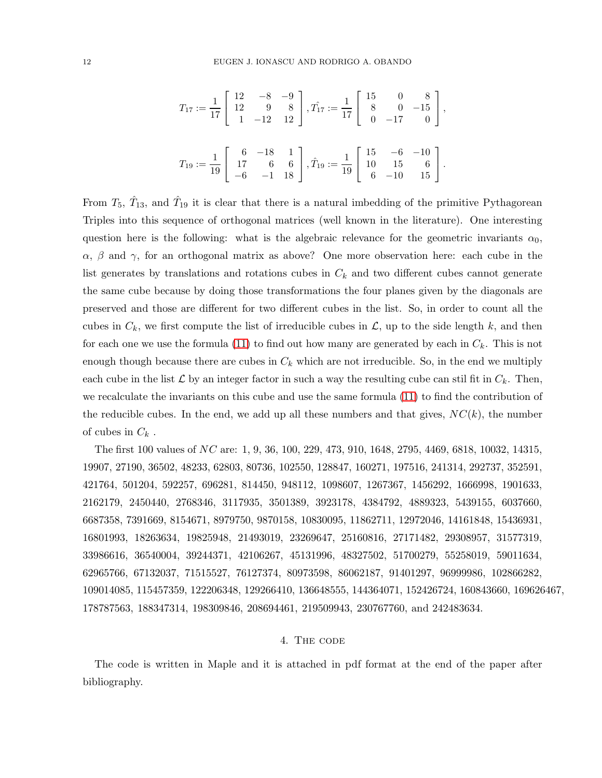$$
T_{17} := \frac{1}{17} \begin{bmatrix} 12 & -8 & -9 \ 12 & 9 & 8 \ 1 & -12 & 12 \end{bmatrix}, T_{17} := \frac{1}{17} \begin{bmatrix} 15 & 0 & 8 \ 8 & 0 & -15 \ 0 & -17 & 0 \end{bmatrix},
$$
  

$$
T_{19} := \frac{1}{19} \begin{bmatrix} 6 & -18 & 1 \ 17 & 6 & 6 \ -6 & -1 & 18 \end{bmatrix}, \hat{T}_{19} := \frac{1}{19} \begin{bmatrix} 15 & -6 & -10 \ 10 & 15 & 6 \ 6 & -10 & 15 \end{bmatrix}.
$$

From  $T_5$ ,  $\hat{T}_{13}$ , and  $\hat{T}_{19}$  it is clear that there is a natural imbedding of the primitive Pythagorean Triples into this sequence of orthogonal matrices (well known in the literature). One interesting question here is the following: what is the algebraic relevance for the geometric invariants  $\alpha_0$ ,  $\alpha$ ,  $\beta$  and  $\gamma$ , for an orthogonal matrix as above? One more observation here: each cube in the list generates by translations and rotations cubes in  $C_k$  and two different cubes cannot generate the same cube because by doing those transformations the four planes given by the diagonals are preserved and those are different for two different cubes in the list. So, in order to count all the cubes in  $C_k$ , we first compute the list of irreducible cubes in  $\mathcal{L}$ , up to the side length k, and then for each one we use the formula [\(11\)](#page-10-0) to find out how many are generated by each in  $C_k$ . This is not enough though because there are cubes in  $C_k$  which are not irreducible. So, in the end we multiply each cube in the list  $\mathcal L$  by an integer factor in such a way the resulting cube can stil fit in  $C_k$ . Then, we recalculate the invariants on this cube and use the same formula [\(11\)](#page-10-0) to find the contribution of the reducible cubes. In the end, we add up all these numbers and that gives,  $NC(k)$ , the number of cubes in  $C_k$ .

The first 100 values of NC are: 1, 9, 36, 100, 229, 473, 910, 1648, 2795, 4469, 6818, 10032, 14315, 19907, 27190, 36502, 48233, 62803, 80736, 102550, 128847, 160271, 197516, 241314, 292737, 352591, 421764, 501204, 592257, 696281, 814450, 948112, 1098607, 1267367, 1456292, 1666998, 1901633, 2162179, 2450440, 2768346, 3117935, 3501389, 3923178, 4384792, 4889323, 5439155, 6037660, 6687358, 7391669, 8154671, 8979750, 9870158, 10830095, 11862711, 12972046, 14161848, 15436931, 16801993, 18263634, 19825948, 21493019, 23269647, 25160816, 27171482, 29308957, 31577319, 33986616, 36540004, 39244371, 42106267, 45131996, 48327502, 51700279, 55258019, 59011634, 62965766, 67132037, 71515527, 76127374, 80973598, 86062187, 91401297, 96999986, 102866282, 109014085, 115457359, 122206348, 129266410, 136648555, 144364071, 152426724, 160843660, 169626467, 178787563, 188347314, 198309846, 208694461, 219509943, 230767760, and 242483634.

### 4. The code

The code is written in Maple and it is attached in pdf format at the end of the paper after bibliography.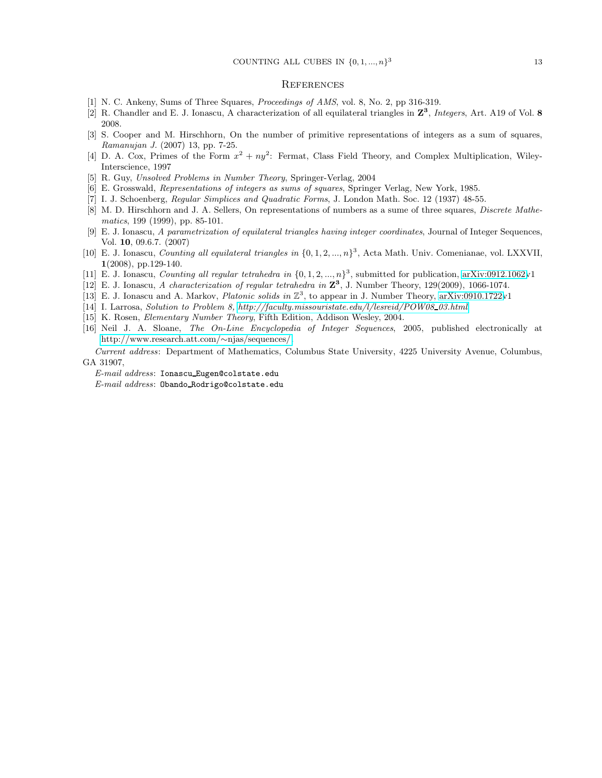#### **REFERENCES**

- <span id="page-12-3"></span>[1] N. C. Ankeny, Sums of Three Squares, *Proceedings of AMS*, vol. 8, No. 2, pp 316-319.
- [2] R. Chandler and E. J. Ionascu, A characterization of all equilateral triangles in Z 3 , *Integers*, Art. A19 of Vol. 8 2008.
- [3] S. Cooper and M. Hirschhorn, On the number of primitive representations of integers as a sum of squares, *Ramanujan J.* (2007) 13, pp. 7-25.
- [4] D. A. Cox, Primes of the Form  $x^2 + ny^2$ : Fermat, Class Field Theory, and Complex Multiplication, Wiley-Interscience, 1997
- [5] R. Guy, *Unsolved Problems in Number Theory*, Springer-Verlag, 2004
- [6] E. Grosswald, *Representations of integers as sums of squares*, Springer Verlag, New York, 1985.
- [7] I. J. Schoenberg, *Regular Simplices and Quadratic Forms*, J. London Math. Soc. 12 (1937) 48-55.
- [8] M. D. Hirschhorn and J. A. Sellers, On representations of numbers as a sume of three squares, *Discrete Mathematics*, 199 (1999), pp. 85-101.
- <span id="page-12-4"></span>[9] E. J. Ionascu, *A parametrization of equilateral triangles having integer coordinates*, Journal of Integer Sequences, Vol. 10, 09.6.7. (2007)
- <span id="page-12-6"></span>[10] E. J. Ionascu, *Counting all equilateral triangles in* {0, 1, 2, ..., n} 3 , Acta Math. Univ. Comenianae, vol. LXXVII, 1(2008), pp.129-140.
- <span id="page-12-7"></span><span id="page-12-0"></span>[11] E. J. Ionascu, *Counting all regular tetrahedra in*  $\{0, 1, 2, ..., n\}^3$ , submitted for publication, [arXiv:0912.1062v](http://arxiv.org/abs/0912.1062)1
- <span id="page-12-1"></span>[12] E. J. Ionascu, *A characterization of regular tetrahedra in* Z 3 , J. Number Theory, 129(2009), 1066-1074.
- <span id="page-12-5"></span>[13] E. J. Ionascu and A. Markov, *Platonic solids in* Z 3 , to appear in J. Number Theory, [arXiv:0910.1722v](http://arxiv.org/abs/0910.1722)1
- [14] I. Larrosa, *Solution to Problem 8, [http://faculty.missouristate.edu/l/lesreid/POW08](http://faculty.missouristate.edu/l/lesreid/POW08$_$03.html) 03.html*
- <span id="page-12-2"></span>[15] K. Rosen, *Elementary Number Theory*, Fifth Edition, Addison Wesley, 2004.
- [16] Neil J. A. Sloane, *The On-Line Encyclopedia of Integer Sequences*, 2005, published electronically at [http://www.research.att.com/](http://www.research.att.com/~njas/sequences/)∼njas/sequences/.

*Current address*: Department of Mathematics, Columbus State University, 4225 University Avenue, Columbus, GA 31907,

*E-mail address*: Ionascu Eugen@colstate.edu *E-mail address*: Obando Rodrigo@colstate.edu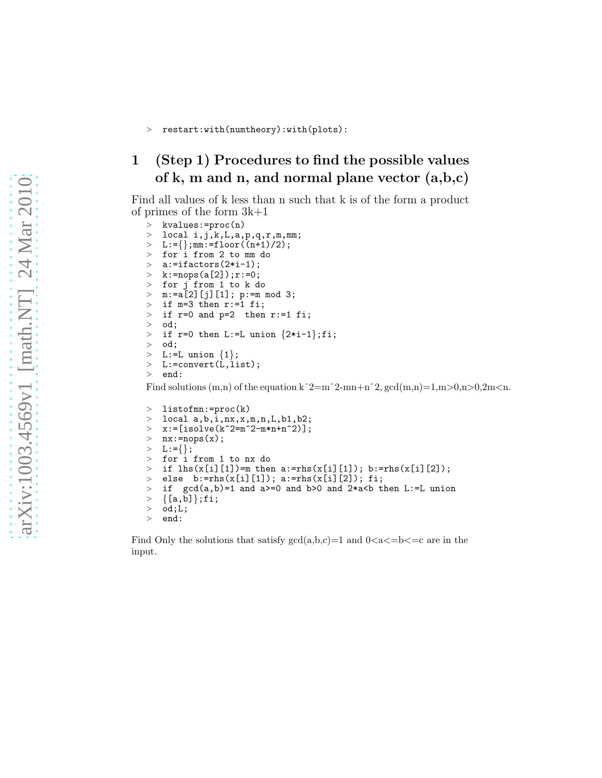### > restart:with(numtheory):with(plots):

## <span id="page-13-0"></span>1 (Step 1) Procedures to find the possible values of k, m and n, and normal plane vector  $(a,b,c)$

Find all values of k less than n such that k is of the form a product of primes of the form 3k+1

```
> kvalues:=proc(n)
> local i,j,k,L,a,p,q,r,m,mm;> L:={};mm:=floor((n+1)/2);<br>> for i from 2 to mm do
> for i from 2 to mm do<br>> a:=ifactors(2*i-1):
   a:=ifactors(2*i-1);
\ge k:=nops(a[2]);r:=0;<br>> for i from 1 to k d
   for j from 1 to k do
> m:=a[2][j][1]; p:=m mod 3;
> if m=3 then r:=1 fi;
> if r=0 and p=2 then r:=1 fi;<br>> ed:
   od;
> if r=0 then L:=L union {2*i-1};fi;<br>> ed:
   od;
> L:=L union \{1\};
> L:=convert(L,list);
> end:
```
Find solutions  $(m,n)$  of the equation k^2=m^2-mn+n^2, gcd $(m,n)=1,m>0,n>0,2m< n$ .

```
> listofmn:=proc(k)
> local a,b,i,nx,x,m,n,L,b1,b2;> x:=[isolve(k^2=m^2-m*n+n^2)];
> nx:=nops(x);> L:=\{\};> for i from 1 to nx do
> if lhs(x[i][1])=m then a:=rhs(x[i][1]); b:=rhs(x[i][2]);
> else b:=rhs(x[i][1]); a:=rhs(x[i][2]); fi;
> if gcd(a, b)=1 and a>=0 and b>0 and 2*a<b then L:=L union
> {[a,b]};fi;<br>> od;L;
   od; L;> end:
```
Find Only the solutions that satisfy  $gcd(a,b,c)=1$  and  $0 < a < b < c$  are in the input.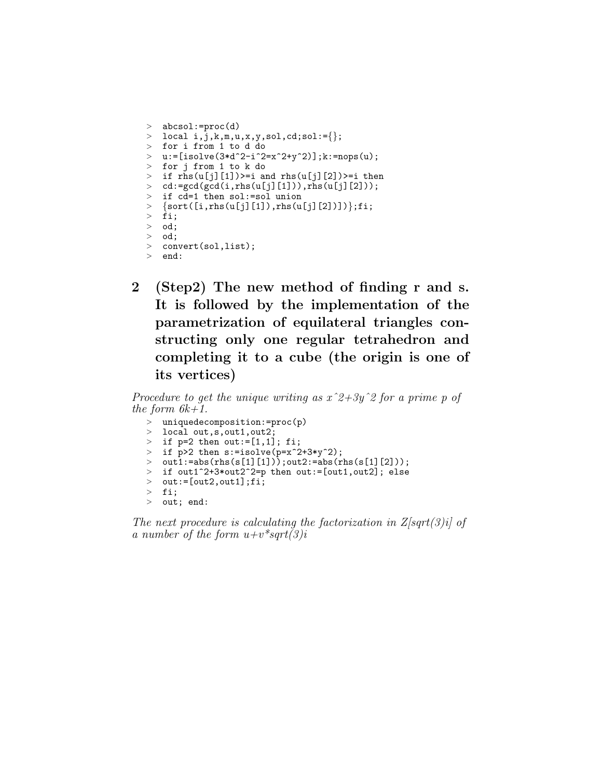```
> abcsol:=proc(d)
> local i, j, k, m, u, x, y, sol, col :={};
> for i from 1 to d do
> u:=[isolve(3*d^2-i^2=x^2+y^2)],;k:=nops(u);
> for j from 1 to k do
> if rhs(u[j][1])>=i and rhs(u[j][2])>=i then
> cd:=gcd(gcd(i,rhs(u[j][1])),rhs(u[j][2]));
> if cd=1 then sol:=sol union
> {sort([i,rhs(u[j][1]),rhs(u[j][2])])};fi;
> fi;
> od;
> od;
> convert(sol,list);
> end:
```
2 (Step2) The new method of finding r and s. It is followed by the implementation of the parametrization of equilateral triangles constructing only one regular tetrahedron and completing it to a cube (the origin is one of its vertices)

Procedure to get the unique writing as  $x^2+3y^2$  for a prime p of the form  $6k+1$ .

| $>$ uniquedecomposition:=proc(p)                          |
|-----------------------------------------------------------|
| $>$ local out,s,out1,out2;                                |
| > if $p=2$ then out:=[1,1]; fi;                           |
| > if $p>2$ then $s:=isolve(p=x^2+3*y^2);$                 |
| > $out1:=abs(rhs(s[1][1]))$ ; $out2:=abs(rhs(s[1][2]))$ ; |
| > if out1^2+3*out2^2=p then out:=[out1,out2]; else        |
| $>$ out:=[out2,out1];fi;                                  |
| $>$ fi;                                                   |
| $>$ out; end:                                             |

The next procedure is calculating the factorization in  $Z\sqrt{|G|}$  of a number of the form  $u+v^*sqrt(3)i$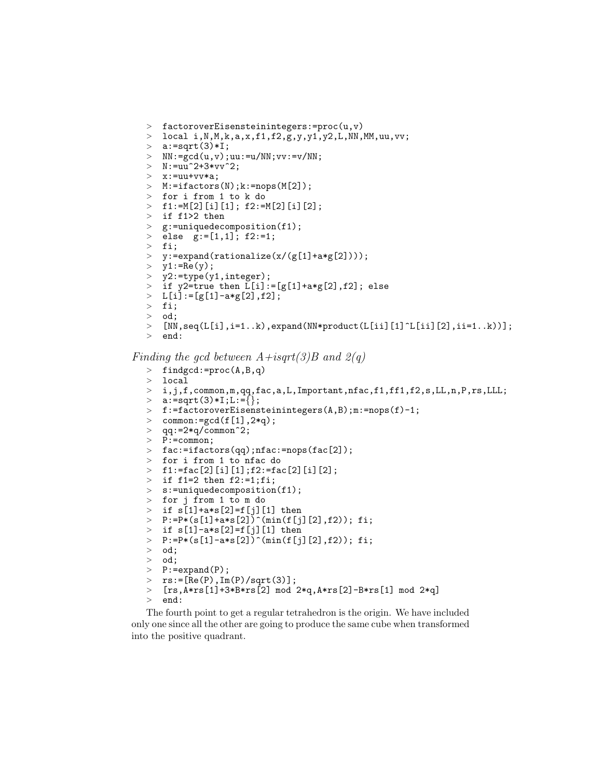```
> factoroverEisensteinintegers:=proc(u,v)
> local i, N, M, k, a, x, f1, f2, g, y, y1, y2, L, NN, MM, uu, vv;> a:=sqrt(3)*I;> NN: = \gcd(u, v); uu:=u/NN; vv:=v/NN;> N: = uu^2+3*vv^2;<br>> x: = uu+vv* a:> x:=uu+vv*a;
> M: = ifactors(N); k: = nops(M[2]);> for i from 1 to k do
> f1:=M[2][i][1]; f2:=M[2][i][2];> if f1>2 then
> g:=uniquedecomposition(f1);
> else g:=[1,1]; f2:=1;
> fi;
> y:=expand(rationalize(x/(g[1]+a*g[2])));
> y1:=Re(y);
> y2:=type(y1,integer);<br>> if y2=true then L[i]:
   if y2=true then L[i]:=[g[1]+a*g[2],f2]; else
> L[i]:=[g[1]-a*g[2],f2];<br>> fi:
   > fi;
> od;
> [NN,seq(L[i], i=1..k), expand(NN*product(L[i][1]^{L[i]}[2], ii=1..k))];
> end:
```
Finding the gcd between  $A+isqrt(3)B$  and  $2(q)$ 

```
> findgcd:=proc(A,B,q)
> local
> i,j,f,common,m,qq,fac,a,L,Important,nfac,fl,ff1,f2,s,LL,n,P,rs,LLL;> a:=sqrt(3)*I;L:=\{\};\geq f:=factoroverEisensteinintegers(A,B);m:=nops(f)-1;<br>
\geq f common:=\text{gcd}(f[1], 2\text{ and}):
  common:=gcd(f[1],2*q);> qq:=2*q/common^2;
> P:=common;
> fac:=ifactors(qq);nfac:=nops(fac[2]);
> for i from 1 to nfac do
> f1:=fac[2][i][1];f2:=fac[2][i][2];
> if f1=2 then f2:=1;fi;
> s:=uniquedecomposition(f1);
> for j from 1 to m do
> if s[1]+a*s[2]=f[j][1] then
\text{P}:=\text{P}*(s[1]+\text{a} * s[2])^{\text{T}}(\text{min}(f[j][2], f2)); \text{fi};> if s[1]-a*s[2]=f[j][1] then
> P:=P*(s[1]-a*s[2])^(min(f[j][2],f2)); fi;
> od;<br>> od:
   od;
> P:=expand(P);
> rs := [Re(P), Im(P)/sqrt(3)];> [rs,A*rs[1]+3*B*rs[2] mod 2*q,A*rs[2]-B*rs[1] mod 2*q]
> end:
```
The fourth point to get a regular tetrahedron is the origin. We have included only one since all the other are going to produce the same cube when transformed into the positive quadrant.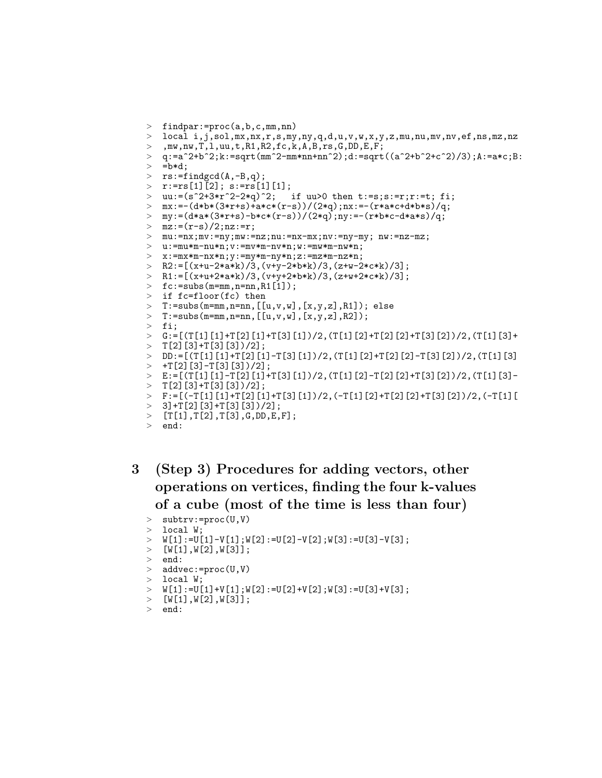```
> findpar:=proc(a,b,c,mm,nn)
> local i,j,sol,mx,nx,r,s,my,ny,q,d,u,v,w,x,y,z,mu,nu,mv,nv,ef,ns,mz,nz
>, mw,nw,T,l,uu,t,R1,R2,fc,k,A,B,rs,G,DD,E,F;
\Rightarrow q:=a^2+b^2;k:=sqrt(mm^2-mm*nn+nn^2);d:=sqrt((a^2+b^2+c^2)/3);A:=a*c;B:<br>> =b*d
   = b * d:
> rs:=findgcd(A,-B,q);> r:=rs[1][2]; s:=rs[1][1];<br>> uu:=(s^2+3*r^2-2*q)^2;
                                        if uu>0 then t:=s;s:=r;r:=t; fi;
> mx:=-(d*b*(3*r+s)+a*c*(r-s))/(2*q);nx:=-(r*a*c+d*b*s)/q;
> my:=(d*a*(3*r+s)-b*c*(r-s))/(2*q);ny:=-(r*b*c-d*a*s)/q;
> mz:=(r-s)/2;nz:=r;
\texttt{m} = \texttt{m} \cdot \texttt{m} \cdot \texttt{m} \cdot \texttt{m} \cdot \texttt{m} \cdot \texttt{m} \cdot \texttt{m} \cdot \texttt{m} \cdot \texttt{m} \cdot \texttt{m} \cdot \texttt{m} \cdot \texttt{m} \cdot \texttt{m} \cdot \texttt{m} \cdot \texttt{m} \cdot \texttt{m} \cdot \texttt{m} \cdot \texttt{m} \cdot \texttt{m} \cdot \texttt{m} \cdot \texttt{m} \cdot \texttt{m} \cdot \texttt{m} \cdot \texttt{m} \cdot \texttt{m} \cdot \texttt{m} \cdot \texttt{m> u:=mu*m-nu*n;v:=mv*m-nv*n;w:=mw*m-nw*n;
> x: = max*m-nx*n; y: = my*m-ny*n; z: = mz*m-nz*n;\geq R2:=[(x+u-2*a*k)/3,(v+y-2*b*k)/3,(z+w-2*c*k)/3];
> R1:=[(x+u+2*a*k)/3,(v+y+2*b*k)/3,(z+w+2*c*k)/3];
\geq fc:=subs(m=mm,n=nn,R1[1]);
> if fc=floor(fc) then
    T:=subs(m=mm,n=nn,[[u,v,w],[x,y,z],R1]); else
    T: = \text{subs}(m = mm, n = nm, [[u, v, w], [x, y, z], R2]);> fi;
> G:=[(T[1][1]+T[2][1]+T[3][1])/2,(T[1][2]+T[2][2]+T[3][2])/2,(T[1][3]+
> T[2][3]+T[3][3])/2]
\text{DD} := \left[ (\text{T}[1][1]+\text{T}[2][1]-\text{T}[3][1])/2, (\text{T}[1][2]+\text{T}[2][2]-\text{T}[3][2])/2, (\text{T}[1][3]] \right]> +T[2][3]-T[3][3])/2];
\angle E:=[(T[1][1]-T[2][1]+T[3][1])/2,(T[1][2]-T[2][2]+T[3][2])/2,(T[1][3]-
> T[2][3]+T[3][3])/2];
\geq F:=[(-T[1][1]+T[2][1]+T[3][1])/2,(-T[1][2]+T[2][2]+T[3][2])/2,(-T[1][1])> 3]+T[2][3]+T[3][3]/2;
> [T[1],T[2],T[3],G,DD,E,F];
```

```
> end:
```
# 3 (Step 3) Procedures for adding vectors, other operations on vertices, finding the four k-values of a cube (most of the time is less than four)

```
> subtrv:=proc(U,V)
> local W;
> W[1]:=U[1]-V[1];W[2]:=U[2]-V[2];W[3]:=U[3]-V[3];> [W[1], W[2], W[3]];
> \, end: \,> addvec:=proc(U,V)
  local W;
> W[1]:=U[1]+V[1];W[2]:=U[2]+V[2];W[3]:=U[3]+V[3];> [W[1],W[2],W[3]];
```

```
> end:
```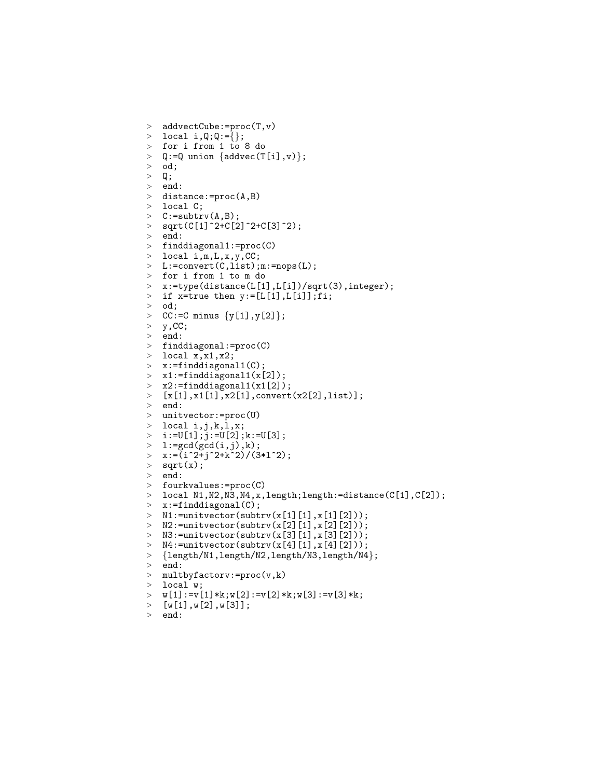```
> addvectCube:=proc(T,v)
> local i, Q; Q: = {};
> for i from 1 to 8 do
> Q:=Q union {addvec(T[i], v)};<br>> od;> od;<br>> Q;
   Q;
> end:
> distance:=proc(A,B)
> local C;
\geq C:=subtrv(A,B);
> sqrt(C[1]^2+C[2]^2+C[3]^2);
> end:
> finddiagonal1:=proc(C)
> local i,m,L,x,y,CC;
> L:=convert(C,list);m:=nops(L);
> for i from 1 to m do
> x:=type(distance(L[1],L[i])/sqrt(3),integer);<br>> if x=true then y:=[L[1].L[i]]:fi:
> if x=true then y:=[L[1], L[i]];fi;<br>> od:
   od;
> CC:=C \text{ minus } \{y[1], y[2]\};> y, CC;> end:
> finddiagonal:=proc(C)
> local x, x1, x2;> x:=finddiagonal1(C);
> x1:=finddiagonal1(x[2]);> x2:=finddiagonal1(x1[2]);> [x[1],x1[1],x2[1],convert(x2[2],list)];
> end:
> unitvector:=proc(U)<br>> local i,j,k,l,x;
   local i,j,k,l,x;
> i:=U[1]; j:=U[2]; k:=U[3];> 1: = gcd(gcd(i,j),k);> x:=(i^2+j^2+k^2)/(3*1^2);> sqrt(x);
> end:
> fourkvalues:=proc(C)
> local N1,N2,N3,N4,x,length;length:=distance(C[1],C[2]);
> x:=finddiagonal(C);> N1:=unitvector(subtrv(x[1][1],x[1][2]));
\geq N2:=unitvector(subtrv(x[2][1],x[2][2]));
> N3:=unitvector(subtrv(x[3][1], x[3][2]));
> N4:=unitvector(subtrv(x[4][1],x[4][2]));<br>> {length/N1,length/N2,length/N3,length/N4
   > {length/N1,length/N2,length/N3,length/N4};
> end:
> multbyfactorv:=proc(v,k)
> local w;<br>> w[1]:=v[
   w[1]:=v[1]*k; w[2]:=v[2]*k; w[3]:=v[3]*k;> [w[1], w[2], w[3]];<br>> end:
```

```
end:
```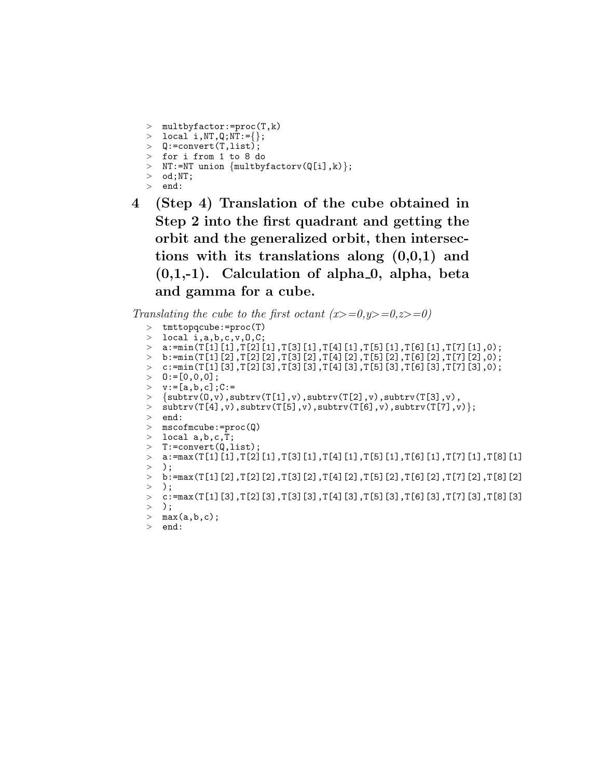```
> multbyfactor:=proc(T,k)
> local i,NT,Q;NT:={};
> Q:=convert(T,list);
> for i from 1 to 8 do
> NT:=NT union \{multbyfactorv(Q[i],k)};
> od;NT;
> end:
```
4 (Step 4) Translation of the cube obtained in Step 2 into the first quadrant and getting the orbit and the generalized orbit, then intersections with its translations along (0,0,1) and  $(0,1,-1)$ . Calculation of alpha  $0$ , alpha, beta and gamma for a cube.

Translating the cube to the first octant  $(x>=0,y>=0,z>=0)$ 

```
> tmttopqcube:=proc(T)
> local i,a,b,c,v,0,C;
> a:=min(T[1][1], T[2][1], T[3][1], T[4][1], T[5][1], T[6][1], T[7][1], 0);> b:=min(T[1][2],T[2][2],T[3][2],T[4][2],T[5][2],T[6][2],T[7][2],0);
> c:=min(T[1][3],T[2][3],T[3][3],T[4][3],T[5][3],T[6][3],T[7][3],0);
> 0:= [0,0,0];> v:=[a,b,c];C:=> \{subtract(0,v),subtract(T[1],v),subtract(T[2],v),subtract(T[3],v),> \text{subtract}(\text{T}[4], v), subtrv(\text{T}[5], v), subtrv(\text{T}[6], v), subtrv(\text{T}[7], v) };
> end:
> mscofmcube:=proc(Q)
> local a, b, c, T;
> T:=convert(Q, list);
> a:=max(T[1][1], T[2][1], T[3][1], T[4][1], T[5][1], T[6][1], T[7][1], T[8][1]> );<br>> b:
   > b:=max(T[1][2],T[2][2],T[3][2],T[4][2],T[5][2],T[6][2],T[7][2],T[8][2]
> );
> c:=max(T[1][3],T[2][3],T[3][3],T[4][3],T[5][3],T[6][3],T[7][3],T[8][3]
> );
> max(a,b,c);> end:
```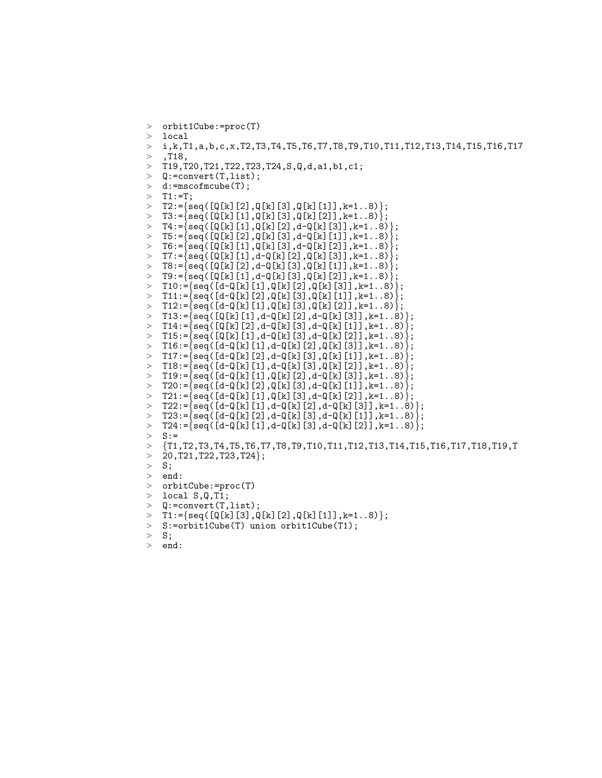```
> orbit1Cube:=proc(T)
> local
> i,k,T1,a,b,c,x,T2,T3,T4,T5,T6,T7,T8,T9,T10,T11,T12,T13,T14,T15,T16,T17
    > ,T18,
> T19, T20, T21, T22, T23, T24, S, Q, d, a1, b1, c1;<br>> 0:=convert(T, list):
   Q:=convert(T, list);
   > d:=mscofmcube(T);
> T1:=T;
\{ \texttt{S} = \{ \texttt{seq([Q[k][2],Q[k][3],Q[k][1]],k=1..8)} \};> T3:={seq([Q[k][1],Q[k][3],Q[k][2]],k=1..8)};
~~>~~ T4:=\big\{ {\rm seq(} \texttt{[Q[k][1],Q[k][2],d-Q[k][3]]}, k=1\mathrel{{.}\,{.}}\nobreak 8) \big\};> T5:={seq([Q[k][2],Q[k][3],d-Q[k][1]],k=1..8)};
> T6:={seq([Q[k][1],Q[k][3],d-Q[k][2]],k=1..8)};
\text{ } > \text{ } T7 := \text{ } \{ \text{seq} \text{ } (\text{ } [\text{Q} \text{ } [k] \text{ } [1] \text{ }, \text{d--Q} \text{ } [k] \text{ } [2] \text{ }, \text{Q} \text{ } [k] \text{ } [3] \text{ } ] \text{ }, k=1 \text{ } . \text{ } 8) \} ;> T8:={seq([Q[k][2],d-Q[k][3],Q[k][1]],k=1..8)};
> T9:={seq([Q[k][1],d-Q[k][3],Q[k][2]],k=1..8)};
> T10:={seq([d-Q[k][1],Q[k][2],Q[k][3]],k=1..8)};
> T11:={seq([d-Q[k][2],Q[k][3],Q[k][1]],k=1..8)};
   T12:=\{seq([d-Q[k][1], Q[k][3], Q[k][2]], k=1..8)\};T13:=\{seq([Q[k][1],d-Q[k][2],d-Q[k][3]],k=1..8)\};> T14:={seq([Q[k][2],d-Q[k][3],d-Q[k][1]],k=1..8)};
> T15:={seq([Q[k][1],d-Q[k][3],d-Q[k][2]],k=1..8)};
> T16:={seq([d-Q[k][1],d-Q[k][2],Q[k][3]],k=1..8)};
> T17:={seq([d-Q[k][2],d-Q[k][3],Q[k][1]],k=1..8)};
> T18:={seq([d-Q[k][1],d-Q[k][3],Q[k][2]],k=1..8)};
> T19:={seq([d-Q[k][1],Q[k][2],d-Q[k][3]],k=1..8)};
> T20:={seq([d-Q[k][2],Q[k][3],d-Q[k][1]],k=1..8)};
> T21:={seq([d-Q[k][1],Q[k][3],d-Q[k][2]],k=1..8)};
> T22:={seq([d-Q[k][1],d-Q[k][2],d-Q[k][3]],k=1..8)};
> T23:={seq([d-Q[k][2],d-Q[k][3],d-Q[k][1]],k=1..8)};
> T24:={seq([d-Q[k][1],d-Q[k][3],d-Q[k][2]],k=1..8)};
   S:> {T1,T2,T3,T4,T5,T6,T7,T8,T9,T10,T11,T12,T13,T14,T15,T16,T17,T18,T19,T
> 20, T21, T22, T23, T24;
> S;
> end:
> orbitCube:=proc(T)
> local S,Q,T1;
> Q:=convert(T,list);
\{ \texttt{S} = \texttt{S} = \texttt{S} = \texttt{S} = \texttt{S} = \texttt{S} \}, \texttt{Q[k][2]}, \texttt{Q[k][1]}, k=1..8)> S:=orbit1Cube(T) union orbit1Cube(T1);
> S;
```

```
> end:
```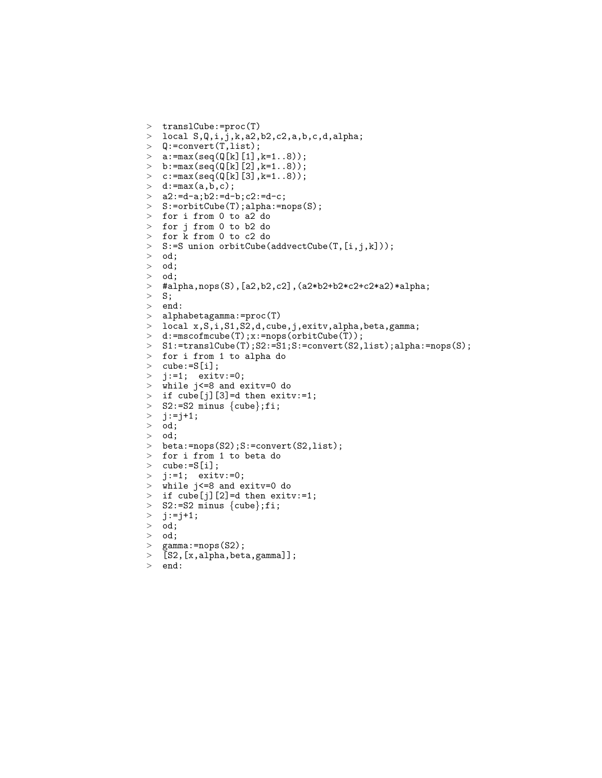```
> translCube:=proc(T)
> local S, Q, i, j, k, a2, b2, c2, a, b, c, d, alpha;> Q:=convert(T,list);
> a: = max(seq(Q[k][1], k=1..8));> b:=max(seq(Q[k][2],k=1..8));<br>> c:=max(seq(Q[k][3],k=1..8));
  c:=max(seq(Q[k][3],k=1..8));> d:=max(a,b,c);> a2:-d-a;b2:-d-b;c2:-d-c;> S:=orbitCube(T);alpha:=nops(S);
> for i from 0 to a2 do
> for j from 0 to b2 do
> for k from 0 to c2 do
> S:=S union orbitCube(addvectCube(T,[i,j,k]));
> od;
> od;
> od;
> #alpha,nops(S),[a2,b2,c2],(a2*b2+b2*c2+c2*a2)*alpha;
> S;<br>> eng
   end:
> alphabetagamma:=proc(T)<br>> local x,S,i,S1,S2.d.cub
   local x, S, i, S1, S2, d, cube, j, exitv, alpha, beta, gamma;
> d:=mscofmcube(T);x:=nops(orbitCube(T));
> S1:=translCube(T);S2:=S1;S:=convert(S2,list);alpha:=nops(S);
> for i from 1 to alpha do
> cube:=S[i];
> i:=1; exity:=0;
> while j<=8 and exitv=0 do
> if cube[j][3]=d then exitv:=1;
> S2:=S2 minus \{\text{cube}\};fi;
> j:=j+1;
> od;<br>> od:
   > od;
> beta:=nops(S2);S:=convert(S2,list);
> for i from 1 to beta do
> cube:=S[i];
> j := 1; exitv:=0;
> while j<=8 and exitv=0 do
> if cube[j][2]=d then exitv:=1;
> S2:=S2 minus \{\text{cube}\};fi;
> j:=j+1;
> od;
> od;
> gamma:=nops(S2);<br>> [S2.[x.alpha.bet
   [S2, [x, alpha, beta, gamma]];
> end:
```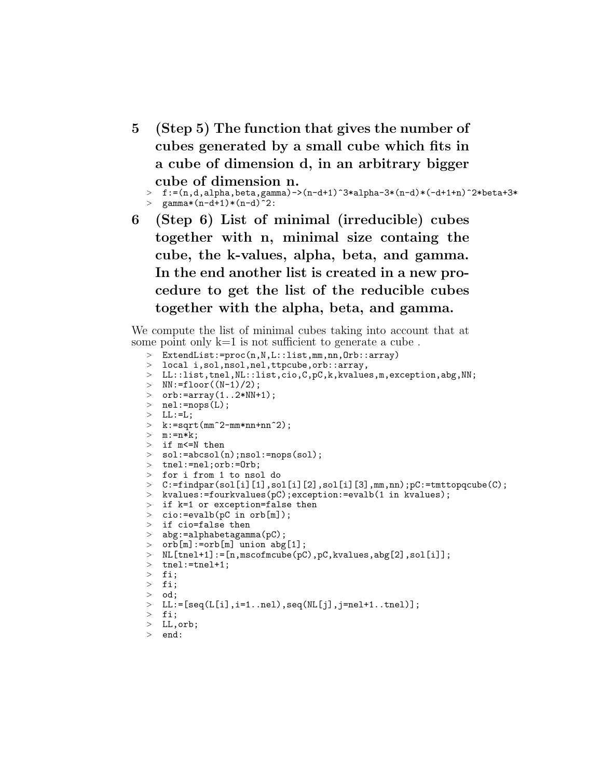5 (Step 5) The function that gives the number of cubes generated by a small cube which fits in a cube of dimension d, in an arbitrary bigger cube of dimension n.

```
\text{ } f:=(n,d,alpha,beta,gamma)->(n-d+1)^3*alpha-3*(n-d)*(-d+1+n)^2*beta+3*
> gamma*(n-d+1)*(n-d)^2:
```
6 (Step 6) List of minimal (irreducible) cubes together with n, minimal size containg the cube, the k-values, alpha, beta, and gamma. In the end another list is created in a new procedure to get the list of the reducible cubes together with the alpha, beta, and gamma.

We compute the list of minimal cubes taking into account that at some point only  $k=1$  is not sufficient to generate a cube.

```
> ExtendList:=proc(n,N,L::list,mm,nn,Orb::array)
> local i,sol,nsol,nel,ttpcube,orb::array,
> LL::list,tnel,NL::list,cio,C,pC,k,kvalues,m,exception,abg,NN;
> NN:=floor((N-1)/2);
> orb:=array(1..2*NN+1);
> nel:=nops(L);
> LL:=L;
\geq k:=sqrt(mm^2-mm*nn+nn^2);
> m:=n*k;
> if m<=N then
> sol:=abcsol(n);nsol:=nops(sol);
> tnel:=nel;orb:=Orb;
> for i from 1 to nsol do
> C:=findpar(sol[i][1],sol[i][2],sol[i][3],mm,nn);pC:=tmttopqcube(C);
> kvalues:=fourkvalues(pC);exception:=evalb(1 in kvalues);
> if k=1 or exception=false then
> cio:=evalb(pC in orb[m]);
> if cio=false then
> abg:=alphabetagamma(pC);
> orb[m]:=orb[m] union abg[1];
> N.L[tene1+1]:=[n,mscofmcube(pC),pC,kvalues,abg[2],sol[i]];> tnel:=tnel+1;
> fi;
> fi;
> od;
> LL:=[seq(L[i],i=1..nel),seq(NL[j],j=nel+1..tnel)];
> fi;
> LL,orb;
> end:
```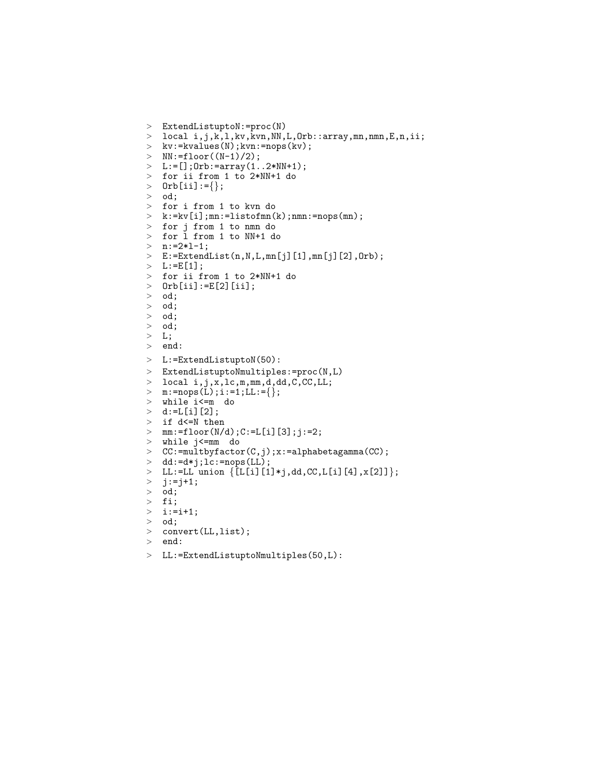```
> ExtendListuptoN:=proc(N)
> local i,j,k,l,kv,kvn,NN,L,Orb::array,mn,nmn,E,n,ii;
> kv:=kvalues(N);kvn:=nops(kv);
> NN:=floor((N-1)/2);
> L:= []; Orb:=array(1..2*NN+1);
> for ii from 1 to 2*NN+1 do
> Orb[ii]:={};
> od;
> for i from 1 to kvn do
> k:=kv[i];mn:=listofmn(k);nmn:=nops(mn);
> for j from 1 to nmn do
> for l from 1 to NN+1 do
> n:=2*1-1;\geq E:=ExtendList(n,N,L,mn[j][1],mn[j][2],Orb);
> L: = E[1];> for ii from 1 to 2*NN+1 do
> Orb[ii]:=E[2][ii];<br>> od:
> od;<br>> od;
  > od;
> od;
> od;
> L;
> end:
> L:=ExtendListuptoN(50):
> ExtendListuptoNmultiples:=proc(N,L)
> local i,j,x,lc,m,mm,d,dd,C,CC,LL;
> m:=nops(L);i:=1;LL:={};
> while i<=m do
> d:=L[i][2];> if d<=N then
> mm: = floor(N/d); C: = L[i][3]; j: = 2;> while j<=mm do
> CC:=multbyfactor(C,j);x:=alphabetagamma(CC);
> dd:=d*j;lc:=nops(LL);
  LL:=LL union \{ [L[i][1]*j, dd, CC, L[i][4], x[2]] \};
> j:=j+1;<br>> od:
   > od;
> fi;
>i:=i+1;
> od;
> convert(LL,list);
> end:
> LL:=ExtendListuptoNmultiples(50,L):
```